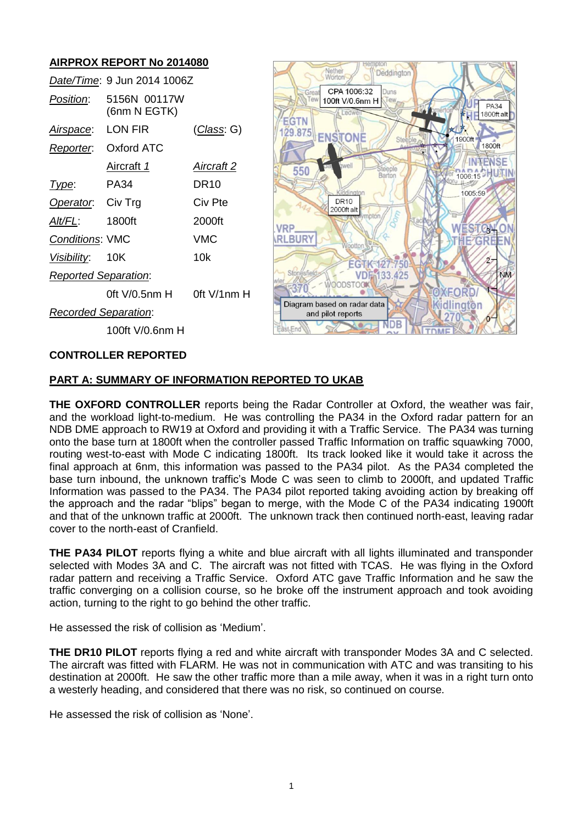## **AIRPROX REPORT No 2014080**

|                             | Date/Time: 9 Jun 2014 1006Z  |                    |
|-----------------------------|------------------------------|--------------------|
| <i>Position</i> :           | 5156N 00117W<br>(6nm N EGTK) |                    |
| <u>Airspace:</u>            | LON FIR                      | <u>(Class</u> : G) |
|                             | Reporter. Oxford ATC         |                    |
|                             | Aircraft 1                   | <b>Aircraft 2</b>  |
| Type:                       | PA34                         | DR10               |
| Operator. Civ Trg           |                              | Civ Pte            |
| Alt/FL:                     | 1800ft                       | 2000ft             |
| <b>Conditions: VMC</b>      |                              | VMC                |
| Visibility: 10K             |                              | 10k                |
| <b>Reported Separation:</b> |                              |                    |
|                             | 0ft V/0.5nm H                | $0$ ft V/1nm H     |
| Recorded Separation:        |                              |                    |
|                             | 100ft V/0.6nm H              |                    |



#### **CONTROLLER REPORTED**

#### **PART A: SUMMARY OF INFORMATION REPORTED TO UKAB**

**THE OXFORD CONTROLLER** reports being the Radar Controller at Oxford, the weather was fair, and the workload light-to-medium. He was controlling the PA34 in the Oxford radar pattern for an NDB DME approach to RW19 at Oxford and providing it with a Traffic Service. The PA34 was turning onto the base turn at 1800ft when the controller passed Traffic Information on traffic squawking 7000, routing west-to-east with Mode C indicating 1800ft. Its track looked like it would take it across the final approach at 6nm, this information was passed to the PA34 pilot. As the PA34 completed the base turn inbound, the unknown traffic's Mode C was seen to climb to 2000ft, and updated Traffic Information was passed to the PA34. The PA34 pilot reported taking avoiding action by breaking off the approach and the radar "blips" began to merge, with the Mode C of the PA34 indicating 1900ft and that of the unknown traffic at 2000ft. The unknown track then continued north-east, leaving radar cover to the north-east of Cranfield.

**THE PA34 PILOT** reports flying a white and blue aircraft with all lights illuminated and transponder selected with Modes 3A and C. The aircraft was not fitted with TCAS. He was flying in the Oxford radar pattern and receiving a Traffic Service. Oxford ATC gave Traffic Information and he saw the traffic converging on a collision course, so he broke off the instrument approach and took avoiding action, turning to the right to go behind the other traffic.

He assessed the risk of collision as 'Medium'.

**THE DR10 PILOT** reports flying a red and white aircraft with transponder Modes 3A and C selected. The aircraft was fitted with FLARM. He was not in communication with ATC and was transiting to his destination at 2000ft. He saw the other traffic more than a mile away, when it was in a right turn onto a westerly heading, and considered that there was no risk, so continued on course.

He assessed the risk of collision as 'None'.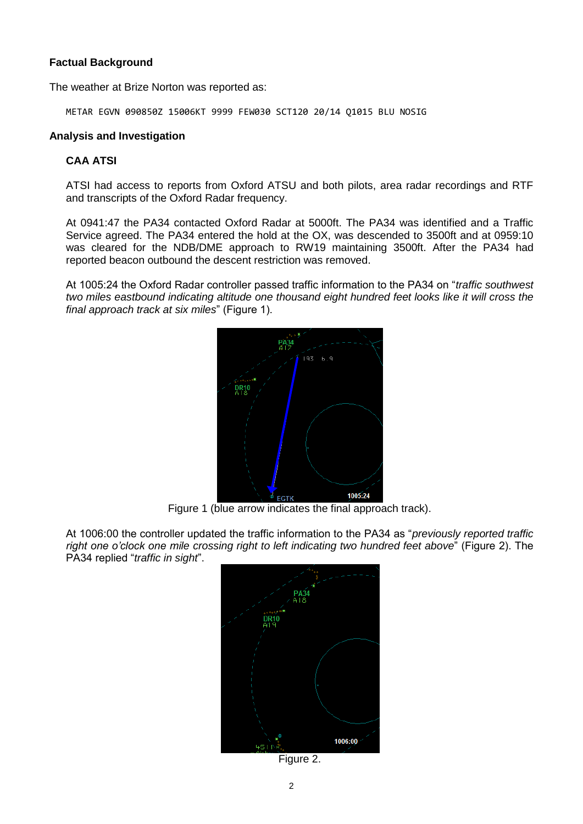### **Factual Background**

The weather at Brize Norton was reported as:

METAR EGVN 090850Z 15006KT 9999 FEW030 SCT120 20/14 Q1015 BLU NOSIG

#### **Analysis and Investigation**

#### **CAA ATSI**

ATSI had access to reports from Oxford ATSU and both pilots, area radar recordings and RTF and transcripts of the Oxford Radar frequency.

At 0941:47 the PA34 contacted Oxford Radar at 5000ft. The PA34 was identified and a Traffic Service agreed. The PA34 entered the hold at the OX, was descended to 3500ft and at 0959:10 was cleared for the NDB/DME approach to RW19 maintaining 3500ft. After the PA34 had reported beacon outbound the descent restriction was removed.

At 1005:24 the Oxford Radar controller passed traffic information to the PA34 on "*traffic southwest two miles eastbound indicating altitude one thousand eight hundred feet looks like it will cross the final approach track at six miles*" (Figure 1).



Figure 1 (blue arrow indicates the final approach track).

At 1006:00 the controller updated the traffic information to the PA34 as "*previously reported traffic right one o'clock one mile crossing right to left indicating two hundred feet above*" (Figure 2). The PA34 replied "*traffic in sight*".



Figure 2.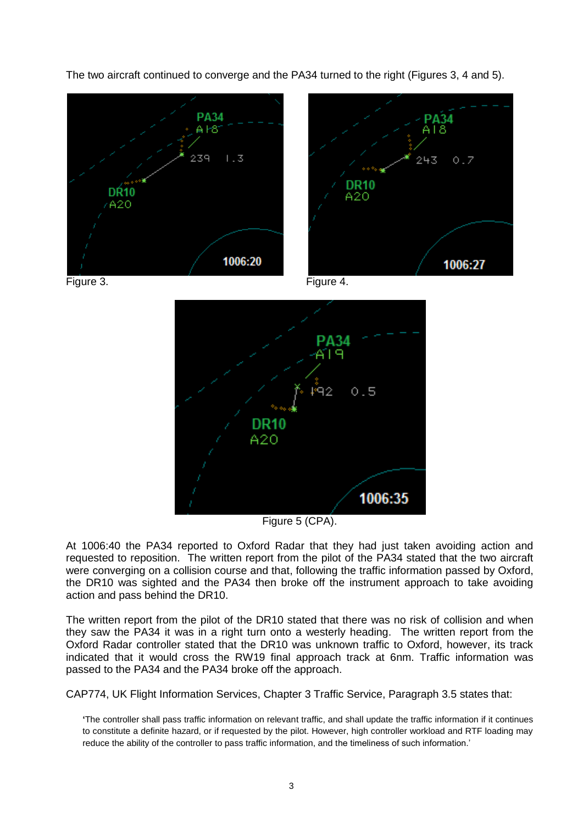The two aircraft continued to converge and the PA34 turned to the right (Figures 3, 4 and 5).





Figure 5 (CPA).

At 1006:40 the PA34 reported to Oxford Radar that they had just taken avoiding action and requested to reposition. The written report from the pilot of the PA34 stated that the two aircraft were converging on a collision course and that, following the traffic information passed by Oxford, the DR10 was sighted and the PA34 then broke off the instrument approach to take avoiding action and pass behind the DR10.

The written report from the pilot of the DR10 stated that there was no risk of collision and when they saw the PA34 it was in a right turn onto a westerly heading. The written report from the Oxford Radar controller stated that the DR10 was unknown traffic to Oxford, however, its track indicated that it would cross the RW19 final approach track at 6nm. Traffic information was passed to the PA34 and the PA34 broke off the approach.

CAP774, UK Flight Information Services, Chapter 3 Traffic Service, Paragraph 3.5 states that:

**'**The controller shall pass traffic information on relevant traffic, and shall update the traffic information if it continues to constitute a definite hazard, or if requested by the pilot. However, high controller workload and RTF loading may reduce the ability of the controller to pass traffic information, and the timeliness of such information.'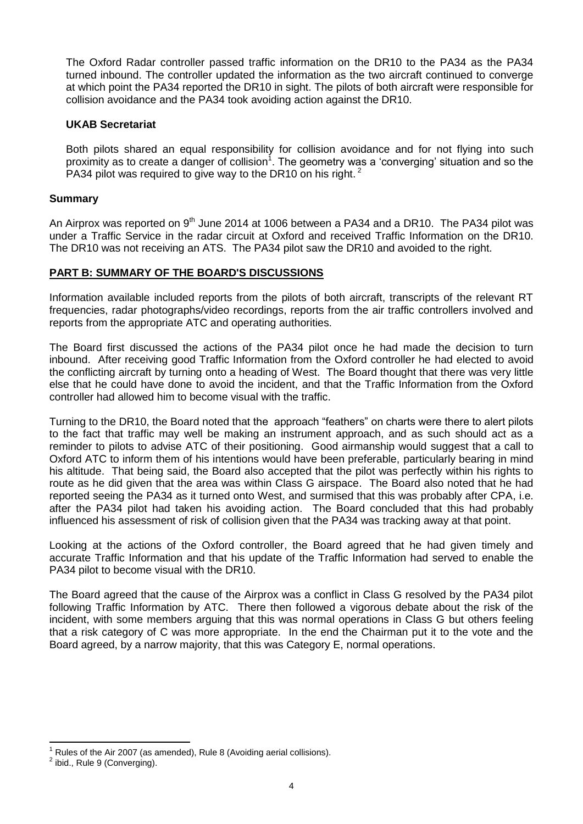The Oxford Radar controller passed traffic information on the DR10 to the PA34 as the PA34 turned inbound. The controller updated the information as the two aircraft continued to converge at which point the PA34 reported the DR10 in sight. The pilots of both aircraft were responsible for collision avoidance and the PA34 took avoiding action against the DR10.

### **UKAB Secretariat**

Both pilots shared an equal responsibility for collision avoidance and for not flying into such proximity as to create a danger of collision<sup>1</sup>. The geometry was a 'converging' situation and so the PA34 pilot was required to give way to the DR10 on his right.<sup>2</sup>

#### **Summary**

An Airprox was reported on 9<sup>th</sup> June 2014 at 1006 between a PA34 and a DR10. The PA34 pilot was under a Traffic Service in the radar circuit at Oxford and received Traffic Information on the DR10. The DR10 was not receiving an ATS. The PA34 pilot saw the DR10 and avoided to the right.

### **PART B: SUMMARY OF THE BOARD'S DISCUSSIONS**

Information available included reports from the pilots of both aircraft, transcripts of the relevant RT frequencies, radar photographs/video recordings, reports from the air traffic controllers involved and reports from the appropriate ATC and operating authorities.

The Board first discussed the actions of the PA34 pilot once he had made the decision to turn inbound. After receiving good Traffic Information from the Oxford controller he had elected to avoid the conflicting aircraft by turning onto a heading of West. The Board thought that there was very little else that he could have done to avoid the incident, and that the Traffic Information from the Oxford controller had allowed him to become visual with the traffic.

Turning to the DR10, the Board noted that the approach "feathers" on charts were there to alert pilots to the fact that traffic may well be making an instrument approach, and as such should act as a reminder to pilots to advise ATC of their positioning. Good airmanship would suggest that a call to Oxford ATC to inform them of his intentions would have been preferable, particularly bearing in mind his altitude. That being said, the Board also accepted that the pilot was perfectly within his rights to route as he did given that the area was within Class G airspace. The Board also noted that he had reported seeing the PA34 as it turned onto West, and surmised that this was probably after CPA, i.e. after the PA34 pilot had taken his avoiding action. The Board concluded that this had probably influenced his assessment of risk of collision given that the PA34 was tracking away at that point.

Looking at the actions of the Oxford controller, the Board agreed that he had given timely and accurate Traffic Information and that his update of the Traffic Information had served to enable the PA34 pilot to become visual with the DR10.

The Board agreed that the cause of the Airprox was a conflict in Class G resolved by the PA34 pilot following Traffic Information by ATC. There then followed a vigorous debate about the risk of the incident, with some members arguing that this was normal operations in Class G but others feeling that a risk category of C was more appropriate. In the end the Chairman put it to the vote and the Board agreed, by a narrow majority, that this was Category E, normal operations.

 $\overline{\phantom{a}}$ 

Rules of the Air 2007 (as amended), Rule 8 (Avoiding aerial collisions).

 $2$  ibid., Rule 9 (Converging).